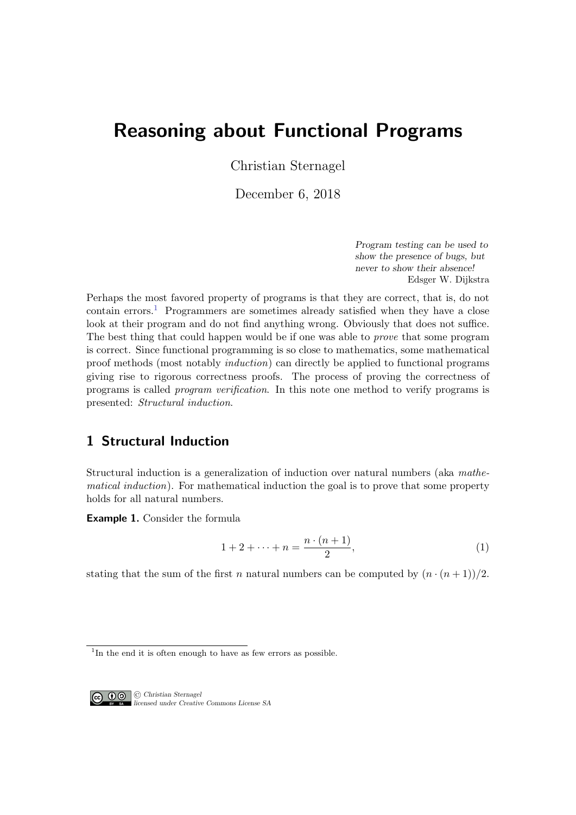# Reasoning about Functional Programs

Christian Sternagel

December 6, 2018

Program testing can be used to show the presence of bugs, but never to show their absence! Edsger W. Dijkstra

Perhaps the most favored property of programs is that they are correct, that is, do not contain errors.<sup>[1](#page-0-0)</sup> Programmers are sometimes already satisfied when they have a close look at their program and do not find anything wrong. Obviously that does not suffice. The best thing that could happen would be if one was able to prove that some program is correct. Since functional programming is so close to mathematics, some mathematical proof methods (most notably induction) can directly be applied to functional programs giving rise to rigorous correctness proofs. The process of proving the correctness of programs is called program verification. In this note one method to verify programs is presented: Structural induction.

# 1 Structural Induction

Structural induction is a generalization of induction over natural numbers (aka mathematical induction). For mathematical induction the goal is to prove that some property holds for all natural numbers.

Example 1. Consider the formula

<span id="page-0-1"></span>
$$
1 + 2 + \dots + n = \frac{n \cdot (n+1)}{2},\tag{1}
$$

stating that the sum of the first *n* natural numbers can be computed by  $(n \cdot (n+1))/2$ .

<span id="page-0-0"></span><sup>&</sup>lt;sup>1</sup>In the end it is often enough to have as few errors as possible.



© Christian Sternagel licensed under Creative Commons License SA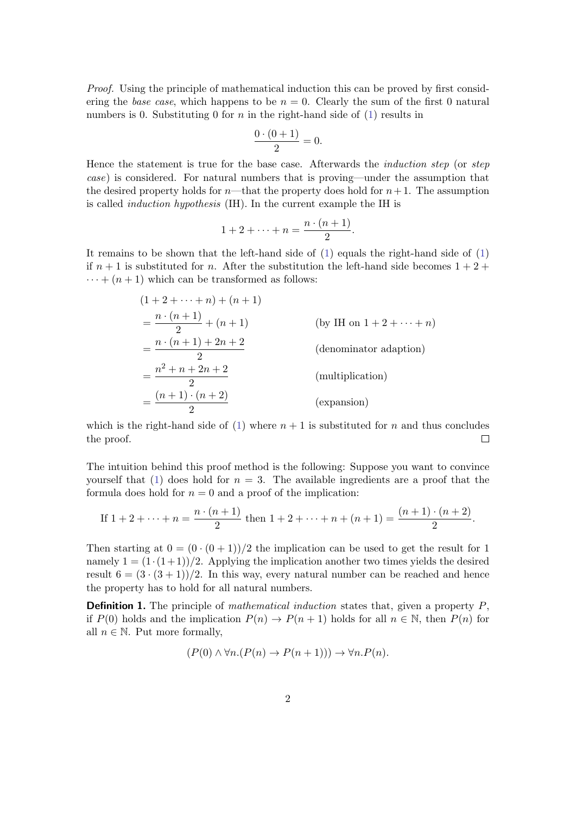Proof. Using the principle of mathematical induction this can be proved by first considering the base case, which happens to be  $n = 0$ . Clearly the sum of the first 0 natural numbers is 0. Substituting 0 for  $n$  in the right-hand side of [\(1\)](#page-0-1) results in

$$
\frac{0\cdot(0+1)}{2}=0.
$$

Hence the statement is true for the base case. Afterwards the induction step (or step case) is considered. For natural numbers that is proving—under the assumption that the desired property holds for  $n$ —that the property does hold for  $n+1$ . The assumption is called induction hypothesis (IH). In the current example the IH is

$$
1+2+\cdots+n=\frac{n\cdot(n+1)}{2}.
$$

It remains to be shown that the left-hand side of [\(1\)](#page-0-1) equals the right-hand side of [\(1\)](#page-0-1) if  $n+1$  is substituted for n. After the substitution the left-hand side becomes  $1+2+$  $\cdots + (n+1)$  which can be transformed as follows:

$$
(1 + 2 + \dots + n) + (n + 1)
$$
  
=  $\frac{n \cdot (n + 1)}{2}$  (by IH on 1 + 2 + \dots + n)  
=  $\frac{n \cdot (n + 1) + 2n + 2}{2}$  (denominator adaptation)  
=  $\frac{n^2 + n + 2n + 2}{2}$  (multiplication)  
=  $\frac{(n + 1) \cdot (n + 2)}{2}$  (expansion)

which is the right-hand side of [\(1\)](#page-0-1) where  $n + 1$  is substituted for n and thus concludes the proof.  $\Box$ 

The intuition behind this proof method is the following: Suppose you want to convince yourself that [\(1\)](#page-0-1) does hold for  $n = 3$ . The available ingredients are a proof that the formula does hold for  $n = 0$  and a proof of the implication:

If 
$$
1 + 2 + \dots + n = \frac{n \cdot (n+1)}{2}
$$
 then  $1 + 2 + \dots + n + (n+1) = \frac{(n+1) \cdot (n+2)}{2}$ .

Then starting at  $0 = (0 \cdot (0 + 1))/2$  the implication can be used to get the result for 1 namely  $1 = (1 \cdot (1+1))/2$ . Applying the implication another two times yields the desired result  $6 = (3 \cdot (3 + 1))/2$ . In this way, every natural number can be reached and hence the property has to hold for all natural numbers.

**Definition 1.** The principle of *mathematical induction* states that, given a property  $P$ , if  $P(0)$  holds and the implication  $P(n) \to P(n+1)$  holds for all  $n \in \mathbb{N}$ , then  $P(n)$  for all  $n \in \mathbb{N}$ . Put more formally,

$$
(P(0) \land \forall n.(P(n) \to P(n+1))) \to \forall n.P(n).
$$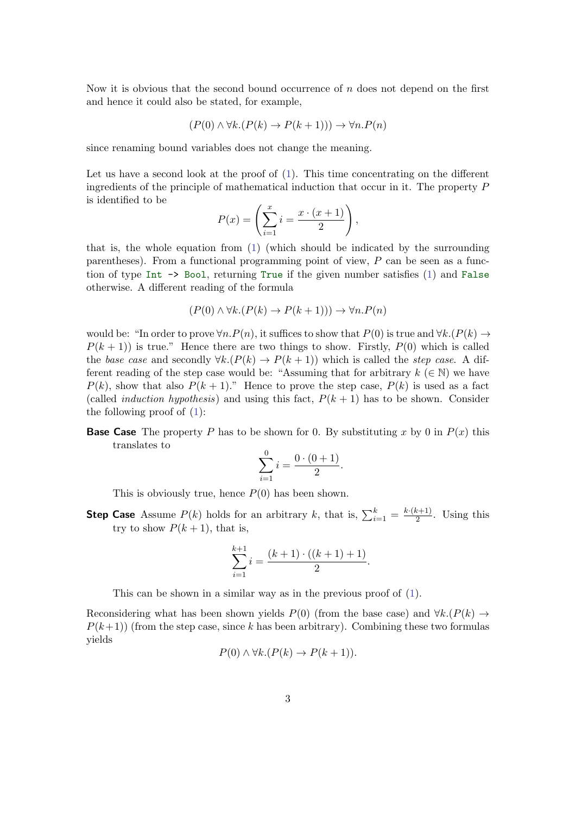Now it is obvious that the second bound occurrence of  $n$  does not depend on the first and hence it could also be stated, for example,

$$
(P(0) \land \forall k.(P(k) \to P(k+1))) \to \forall n.P(n)
$$

since renaming bound variables does not change the meaning.

Let us have a second look at the proof of  $(1)$ . This time concentrating on the different ingredients of the principle of mathematical induction that occur in it. The property P is identified to be

$$
P(x) = \left(\sum_{i=1}^{x} i = \frac{x \cdot (x+1)}{2}\right),
$$

that is, the whole equation from [\(1\)](#page-0-1) (which should be indicated by the surrounding parentheses). From a functional programming point of view,  $P$  can be seen as a function of type Int -> Bool, returning True if the given number satisfies [\(1\)](#page-0-1) and False otherwise. A different reading of the formula

$$
(P(0) \land \forall k.(P(k) \to P(k+1))) \to \forall n.P(n)
$$

would be: "In order to prove  $\forall n.P(n)$ , it suffices to show that  $P(0)$  is true and  $\forall k.(P(k) \rightarrow$  $P(k + 1)$ ) is true." Hence there are two things to show. Firstly,  $P(0)$  which is called the base case and secondly  $\forall k.(P(k) \rightarrow P(k+1))$  which is called the step case. A different reading of the step case would be: "Assuming that for arbitrary  $k \in \mathbb{N}$ ) we have  $P(k)$ , show that also  $P(k + 1)$ ." Hence to prove the step case,  $P(k)$  is used as a fact (called *induction hypothesis*) and using this fact,  $P(k + 1)$  has to be shown. Consider the following proof of  $(1)$ :

**Base Case** The property P has to be shown for 0. By substituting x by 0 in  $P(x)$  this translates to

$$
\sum_{i=1}^{0} i = \frac{0 \cdot (0+1)}{2}.
$$

This is obviously true, hence  $P(0)$  has been shown.

**Step Case** Assume  $P(k)$  holds for an arbitrary k, that is,  $\sum_{i=1}^{k} = \frac{k \cdot (k+1)}{2}$  $\frac{x+1}{2}$ . Using this try to show  $P(k+1)$ , that is,

$$
\sum_{i=1}^{k+1} i = \frac{(k+1) \cdot ((k+1) + 1)}{2}.
$$

This can be shown in a similar way as in the previous proof of [\(1\)](#page-0-1).

Reconsidering what has been shown yields P(0) (from the base case) and  $\forall k.(P(k) \rightarrow$  $P(k+1)$ ) (from the step case, since k has been arbitrary). Combining these two formulas yields

$$
P(0) \land \forall k. (P(k) \to P(k+1)).
$$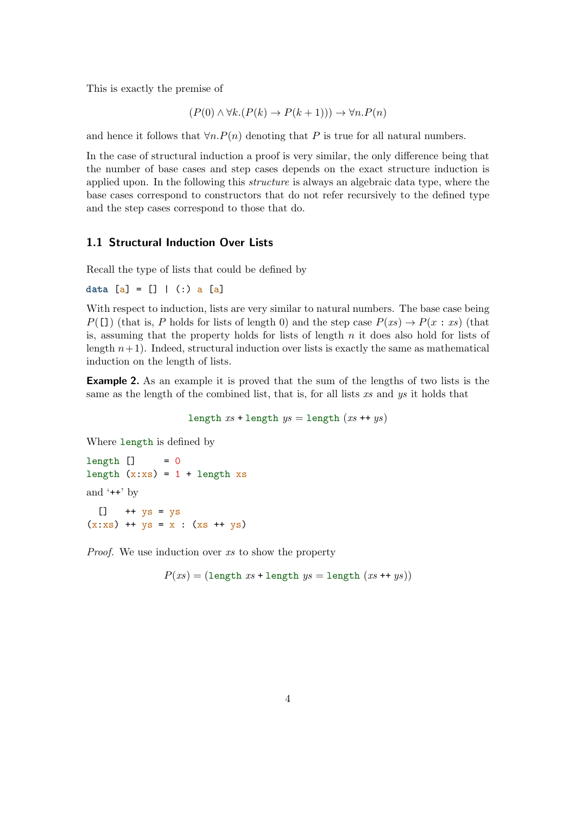This is exactly the premise of

$$
(P(0) \land \forall k.(P(k) \to P(k+1))) \to \forall n.P(n)
$$

and hence it follows that  $\forall n.P(n)$  denoting that P is true for all natural numbers.

In the case of structural induction a proof is very similar, the only difference being that the number of base cases and step cases depends on the exact structure induction is applied upon. In the following this structure is always an algebraic data type, where the base cases correspond to constructors that do not refer recursively to the defined type and the step cases correspond to those that do.

## 1.1 Structural Induction Over Lists

Recall the type of lists that could be defined by

data  $[a] = [] |$  (:) a  $[a]$ 

With respect to induction, lists are very similar to natural numbers. The base case being  $P([1])$  (that is, P holds for lists of length 0) and the step case  $P(xs) \rightarrow P(x : xs)$  (that is, assuming that the property holds for lists of length  $n$  it does also hold for lists of length  $n+1$ ). Indeed, structural induction over lists is exactly the same as mathematical induction on the length of lists.

Example 2. As an example it is proved that the sum of the lengths of two lists is the same as the length of the combined list, that is, for all lists  $xs$  and  $ys$  it holds that

length  $xs$  + length  $ys$  = length  $(xs + ts)$ 

Where length is defined by

 $length$   $]$  = 0 length  $(x:xs) = 1 + length xs$ and '++' by  $[]$  ++  $\gamma s = \gamma s$  $(x:xs)$  ++  $ys = x : (xs + ys)$ 

Proof. We use induction over xs to show the property

 $P(xs) = (length xs + length ys = length (xs ++ ys))$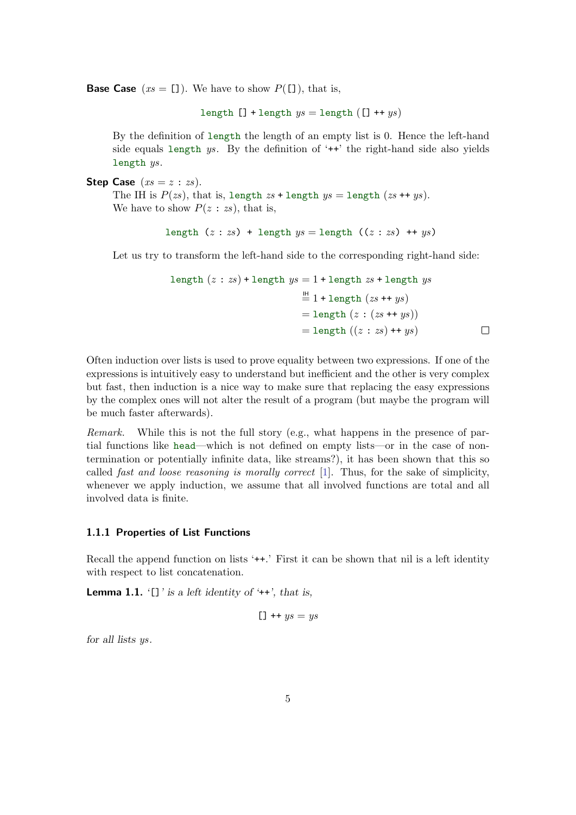**Base Case**  $(xs = [])$ . We have to show  $P([$ ]), that is,

length  $[]$  + length  $ys =$  length  $([] + + ys)$ 

By the definition of length the length of an empty list is 0. Hence the left-hand side equals length  $ys$ . By the definition of  $'++'$  the right-hand side also yields length ys.

**Step Case**  $(xs = z : zs)$ .

The IH is  $P(zs)$ , that is, length  $zs + \text{length }ys = \text{length } (zs ++ys)$ . We have to show  $P(z:zs)$ , that is,

```
length (z : zs) + length ys = length ((z : zs) ++ ys)
```
Let us try to transform the left-hand side to the corresponding right-hand side:

length 
$$
(z : zs)
$$
 + length  $ys = 1$  + length  $zs$  + length  $ys$   
\n
$$
\stackrel{\text{III}}{=} 1 + \text{length } (zs + t ys)
$$
\n
$$
= \text{length } (z : (zs + t ys))
$$
\n
$$
= \text{length } ((z : zs) + t ys)
$$

Often induction over lists is used to prove equality between two expressions. If one of the expressions is intuitively easy to understand but inefficient and the other is very complex but fast, then induction is a nice way to make sure that replacing the easy expressions by the complex ones will not alter the result of a program (but maybe the program will be much faster afterwards).

Remark. While this is not the full story (e.g., what happens in the presence of partial functions like head—which is not defined on empty lists—or in the case of nontermination or potentially infinite data, like streams?), it has been shown that this so called fast and loose reasoning is morally correct [\[1\]](#page-8-0). Thus, for the sake of simplicity, whenever we apply induction, we assume that all involved functions are total and all involved data is finite.

## 1.1.1 Properties of List Functions

Recall the append function on lists '++.' First it can be shown that nil is a left identity with respect to list concatenation.

<span id="page-4-0"></span>**Lemma 1.1.**  $\lbrack \cdot \rbrack$  is a left identity of  $\lbrack \cdot + \cdot \rbrack$ , that is,

$$
[] + + ys = ys
$$

for all lists ys.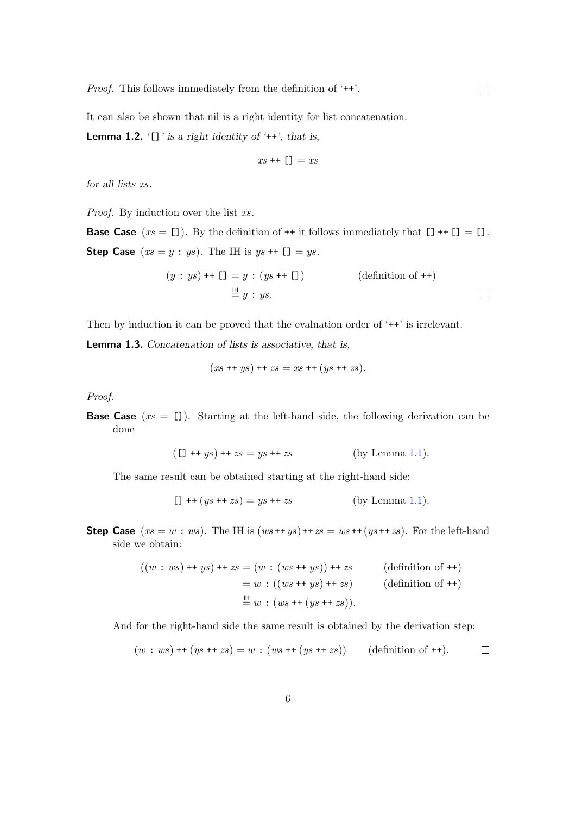Proof. This follows immediately from the definition of '++'.

It can also be shown that nil is a right identity for list concatenation.

**Lemma 1.2.** '[]' is a right identity of ' $++$ ', that is,

$$
xs\dashv\vdash [\rrbracket]=xs
$$

for all lists xs.

Proof. By induction over the list xs.

**Base Case**  $(xs = [])$ . By the definition of  $++$  it follows immediately that  $[] ++[] = []$ . **Step Case**  $(xs = y : ys)$ . The IH is  $ys + [] = ys$ .

$$
(y : ys) \dashleftarrow \text{L} = y : (ys \dashleftarrow \text{L})
$$
\n
$$
\stackrel{\text{IH}}{=} y : ys.
$$
\n
$$
\Box
$$

Then by induction it can be proved that the evaluation order of '++' is irrelevant.

Lemma 1.3. Concatenation of lists is associative, that is,

$$
(xs + ys) + zs = xs + (ys + zs).
$$

Proof.

**Base Case**  $(xs = [])$ . Starting at the left-hand side, the following derivation can be done

$$
(1 + ys) + zs = ys + zs
$$
 (by Lemma 1.1).

The same result can be obtained starting at the right-hand side:

$$
[1 + (ys + zs) = ys + zs
$$
 (by Lemma 1.1).

**Step Case**  $(xs = w : ws)$ . The IH is  $(ws ++ys) + zs = ws ++(ys ++zs)$ . For the left-hand side we obtain:

$$
((w : ws) + ys) + zs = (w : (ws + ys)) + zs
$$
 (definition of ++)  
= w :  $((ws + ys) + zs)$  (definition of ++)  
 $\stackrel{\mathbb{H}}{=} w : (ws + (ys + zs)).$ 

And for the right-hand side the same result is obtained by the derivation step:

$$
(w : ws) ++ (ys ++ zs) = w : (ws ++ (ys ++ zs)) \qquad (definition of ++).
$$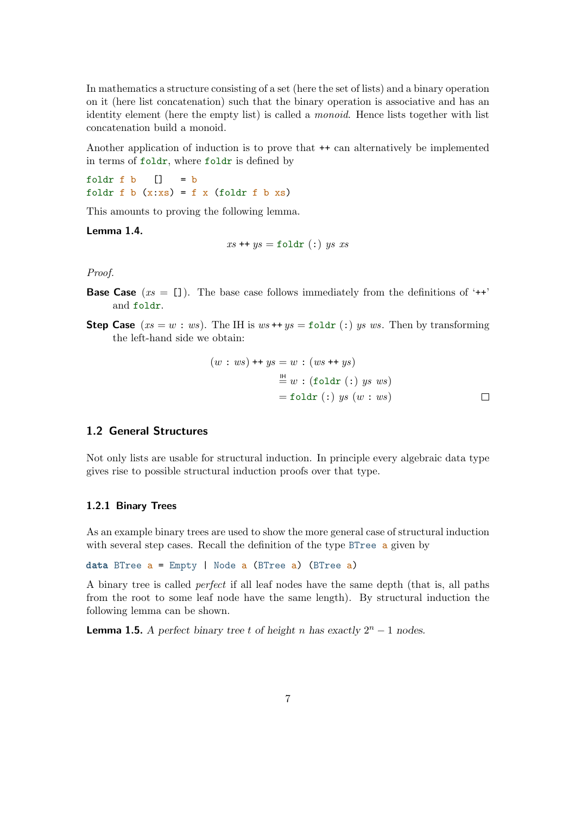In mathematics a structure consisting of a set (here the set of lists) and a binary operation on it (here list concatenation) such that the binary operation is associative and has an identity element (here the empty list) is called a *monoid*. Hence lists together with list concatenation build a monoid.

Another application of induction is to prove that ++ can alternatively be implemented in terms of foldr, where foldr is defined by

foldr  $f$  b  $\begin{bmatrix} 1 \\ 2 \end{bmatrix} = b$ foldr f b  $(x:xs) = f x$  (foldr f b xs)

This amounts to proving the following lemma.

Lemma 1.4.

 $xs + ys =$  foldr (:) us xs

Proof.

- **Base Case** ( $xs = [1]$ ). The base case follows immediately from the definitions of '++' and foldr.
- **Step Case**  $(xs = w : ws)$ . The IH is  $ws + ys = \text{foldr}$  (:) ys ws. Then by transforming the left-hand side we obtain:

$$
(w : ws) ++ ys = w : (ws ++ ys)
$$
  

$$
= w : (foldr (:) ys ws)
$$
  

$$
= foldr (:) ys (w : ws)
$$

# 1.2 General Structures

Not only lists are usable for structural induction. In principle every algebraic data type gives rise to possible structural induction proofs over that type.

### 1.2.1 Binary Trees

As an example binary trees are used to show the more general case of structural induction with several step cases. Recall the definition of the type BTree a given by

data BTree  $a = \text{Empty}$  | Node  $a$  (BTree  $a$ ) (BTree  $a$ )

A binary tree is called perfect if all leaf nodes have the same depth (that is, all paths from the root to some leaf node have the same length). By structural induction the following lemma can be shown.

**Lemma 1.5.** A perfect binary tree t of height n has exactly  $2^n - 1$  nodes.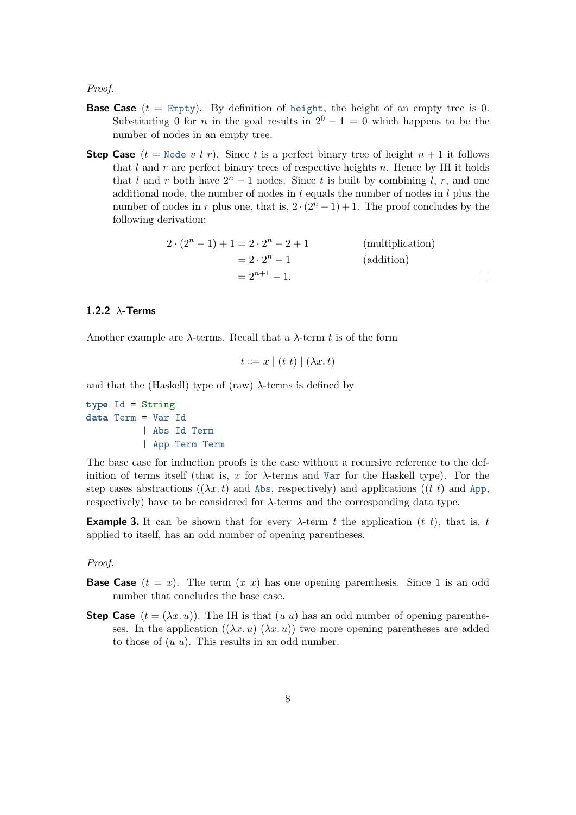Proof.

- **Base Case**  $(t = \text{Empty})$ . By definition of height, the height of an empty tree is 0. Substituting 0 for *n* in the goal results in  $2^{0} - 1 = 0$  which happens to be the number of nodes in an empty tree.
- **Step Case**  $(t = \text{Node } v \mid r)$ . Since t is a perfect binary tree of height  $n + 1$  it follows that  $l$  and  $r$  are perfect binary trees of respective heights  $n$ . Hence by IH it holds that l and r both have  $2^{n} - 1$  nodes. Since t is built by combining l, r, and one additional node, the number of nodes in  $t$  equals the number of nodes in  $l$  plus the number of nodes in r plus one, that is,  $2 \cdot (2^n - 1) + 1$ . The proof concludes by the following derivation:

 $2 \cdot (2^n - 1) + 1 = 2 \cdot 2^n - 2 + 1$  $(multiplication)$  $= 2 \cdot 2^n - 1$  $(addition)$  $= 2^{n+1} - 1$ .  $\Box$ 

### 1.2.2  $\lambda$ -Terms

Another example are  $\lambda$ -terms. Recall that a  $\lambda$ -term t is of the form

$$
t ::= x \mid (t \ t) \mid (\lambda x \ t)
$$

and that the (Haskell) type of (raw)  $\lambda$ -terms is defined by

type Id = String data Term = Var Id | Abs Id Term | App Term Term

The base case for induction proofs is the case without a recursive reference to the definition of terms itself (that is, x for  $\lambda$ -terms and Var for the Haskell type). For the step cases abstractions (( $\lambda x. t$ ) and Abs, respectively) and applications ((t t) and App, respectively) have to be considered for  $\lambda$ -terms and the corresponding data type.

**Example 3.** It can be shown that for every  $\lambda$ -term t the application (t t), that is, t applied to itself, has an odd number of opening parentheses.

#### Proof.

- **Base Case**  $(t = x)$ . The term  $(x x)$  has one opening parenthesis. Since 1 is an odd number that concludes the base case.
- **Step Case**  $(t = (\lambda x. u))$ . The IH is that  $(u u)$  has an odd number of opening parentheses. In the application  $((\lambda x. u), (\lambda x. u))$  two more opening parentheses are added to those of  $(u u)$ . This results in an odd number.